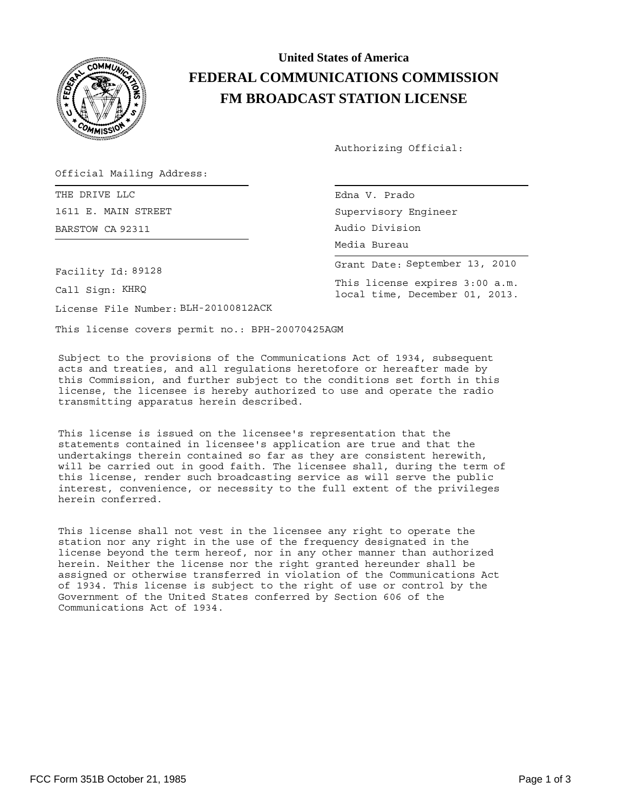

## **United States of America FEDERAL COMMUNICATIONS COMMISSION FM BROADCAST STATION LICENSE**

Authorizing Official:

Supervisory Engineer

Media Bureau Audio Division

This license expires 3:00 a.m. local time, December 01, 2013.

Grant Date: September 13, 2010

Official Mailing Address:

THE DRIVE LLC **EDITION CONTROLLER SECTION CONTROL** Edna V. Prado 1611 E. MAIN STREET BARSTOW CA 92311

Facility Id: 89128

Call Sign: KHRQ

License File Number: BLH-20100812ACK

This license covers permit no.: BPH-20070425AGM

Subject to the provisions of the Communications Act of 1934, subsequent acts and treaties, and all regulations heretofore or hereafter made by this Commission, and further subject to the conditions set forth in this license, the licensee is hereby authorized to use and operate the radio transmitting apparatus herein described.

This license is issued on the licensee's representation that the statements contained in licensee's application are true and that the undertakings therein contained so far as they are consistent herewith, will be carried out in good faith. The licensee shall, during the term of this license, render such broadcasting service as will serve the public interest, convenience, or necessity to the full extent of the privileges herein conferred.

This license shall not vest in the licensee any right to operate the station nor any right in the use of the frequency designated in the license beyond the term hereof, nor in any other manner than authorized herein. Neither the license nor the right granted hereunder shall be assigned or otherwise transferred in violation of the Communications Act of 1934. This license is subject to the right of use or control by the Government of the United States conferred by Section 606 of the Communications Act of 1934.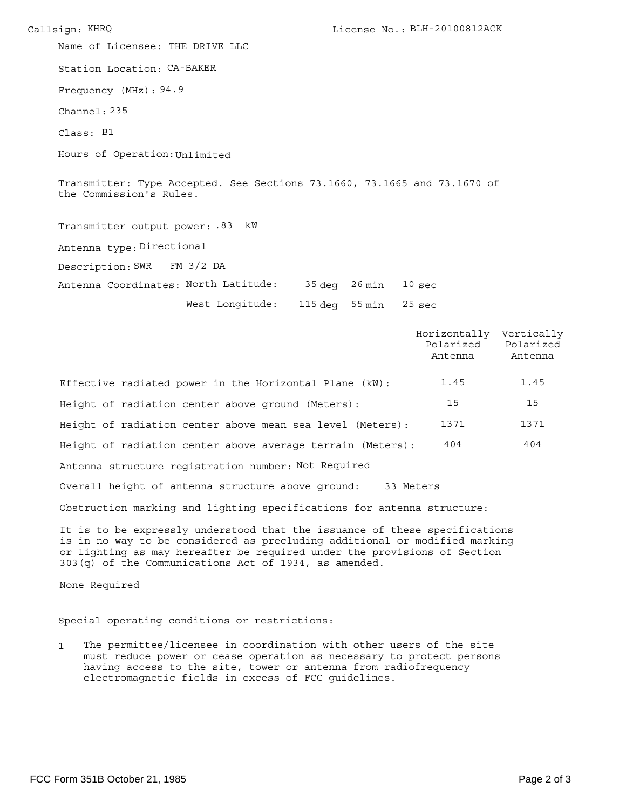Callsign: KHRQ BLH-20100812ACK Station Location: CA-BAKER Frequency (MHz): 94.9 Channel: 235 Name of Licensee: THE DRIVE LLC Class: B1 Hours of Operation: Unlimited Transmitter: Type Accepted. See Sections 73.1660, 73.1665 and 73.1670 of the Commission's Rules. Antenna type: Directional Transmitter output power: .83 kW 35 deg 26 min Antenna Coordinates: North Latitude: 10 sec Description: SWR FM 3/2 DA

West Longitude: 115 deg 55 min

25 sec

Horizontally Vertically Polarized Polarized Antenna Antenna Effective radiated power in the Horizontal Plane (kW): Antenna structure registration number: Not Required Overall height of antenna structure above ground: 33 Meters Obstruction marking and lighting specifications for antenna structure: Height of radiation center above ground (Meters): Height of radiation center above mean sea level (Meters): Height of radiation center above average terrain (Meters): 1371 404 15 1371 404 15 1.45 1.45

It is to be expressly understood that the issuance of these specifications is in no way to be considered as precluding additional or modified marking or lighting as may hereafter be required under the provisions of Section 303(q) of the Communications Act of 1934, as amended.

None Required

Special operating conditions or restrictions:

1 The permittee/licensee in coordination with other users of the site must reduce power or cease operation as necessary to protect persons having access to the site, tower or antenna from radiofrequency electromagnetic fields in excess of FCC guidelines.